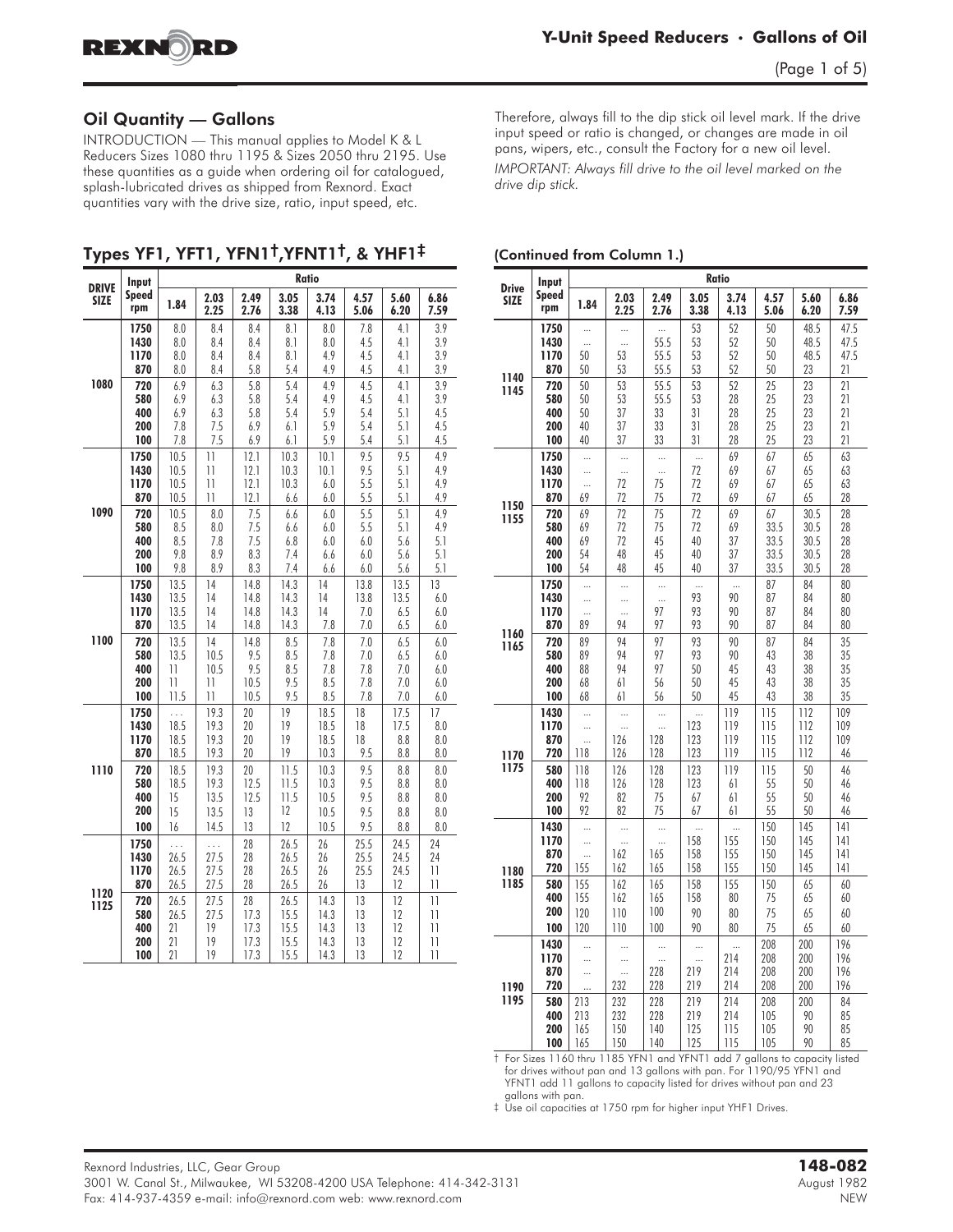

### Oil Quantity — Gallons

**INTRODUCTION** — This manual applies to Model K & L Reducers Sizes 1080 thru 1195 & Sizes 2050 thru 2195. Use these quantities as a guide when ordering oil for catalogued, splash-lubricated drives as shipped from Rexnord. Exact quantities vary with the drive size, ratio, input speed, etc.

Types YF1, YFT1, YFN1†,YFNT1†, & YHF1‡

| <b>DRIVE</b><br><b>SIZE</b><br>1080<br>1090<br>1100<br>1110<br>1120<br>1125 | Input        |              |                       |              | <b>Ratio</b> |              |              |              |                       |
|-----------------------------------------------------------------------------|--------------|--------------|-----------------------|--------------|--------------|--------------|--------------|--------------|-----------------------|
|                                                                             | Speed<br>rpm | 1.84         | 2.03<br>2.25          | 2.49<br>2.76 | 3.05<br>3.38 | 3.74<br>4.13 | 4.57<br>5.06 | 5.60<br>6.20 | 6.86<br>7.59          |
|                                                                             | 1750         | 8.0          | 8.4                   | 8.4          | 8.1          | 8.0          | 7.8          | 4.1          | 3.9                   |
|                                                                             | 1430         | 8.0          | 8.4                   | 8.4          | 8.1          | 8.0          | 4.5          | 4.1          | 3.9                   |
|                                                                             | 1170<br>870  | 8.0<br>8.0   | 8.4<br>8.4            | 8.4<br>5.8   | 8.1<br>5.4   | 4.9<br>4.9   | 4.5<br>4.5   | 4.1<br>4.1   | 3.9<br>3.9            |
|                                                                             | 720          | 6.9          | 6.3                   | 5.8          | 5.4          | 4.9          | 4.5          | 4.1          | 3.9                   |
|                                                                             | 580          | 6.9          | 6.3                   | 5.8          | 5.4          | 4.9          | 4.5          | 4.1          | 3.9                   |
|                                                                             | 400          | 6.9          | 6.3                   | 5.8          | 5.4          | 5.9          | 5.4          | 5.1          | 4.5                   |
|                                                                             | 200          | 7.8          | 7.5                   | 6.9          | 6.1          | 5.9          | 5.4          | 5.1          | 4.5                   |
|                                                                             | 100          | 7.8          | 7.5                   | 6.9          | 6.1          | 5.9          | 5.4          | 5.1          | 4.5                   |
|                                                                             | 1750<br>1430 | 10.5<br>10.5 | 11<br>$\overline{11}$ | 12.1<br>12.1 | 10.3<br>10.3 | 10.1<br>10.1 | 9.5<br>9.5   | 9.5<br>5.1   | 4.9<br>4.9            |
|                                                                             | 1170         | 10.5         | 11                    | 12.1         | 10.3         | 6.0          | 5.5          | 5.1          | 4.9                   |
|                                                                             | 870          | 10.5         | $\overline{11}$       | 12.1         | 6.6          | 6.0          | 5.5          | 5.1          | 4.9                   |
|                                                                             | 720          | 10.5         | 8.0                   | 7.5          | 6.6          | 6.0          | 5.5          | 5.1          | 4.9                   |
|                                                                             | 580          | 8.5          | 8.0                   | 7.5          | 6.6          | 6.0          | 5.5          | 5.1          | 4.9                   |
|                                                                             | 400          | 8.5          | 7.8                   | 7.5          | 6.8          | 6.0          | 6.0          | 5.6          | 5.1                   |
|                                                                             | 200<br>100   | 9.8<br>9.8   | 8.9<br>8.9            | 8.3<br>8.3   | 7.4<br>7.4   | 6.6<br>6.6   | 6.0<br>6.0   | 5.6<br>5.6   | 5.1<br>5.1            |
|                                                                             | 1750         | 13.5         | 14                    | 14.8         | 14.3         | 14           | 13.8         | 13.5         | 13                    |
|                                                                             | 1430         | 13.5         | 14                    | 14.8         | 14.3         | 14           | 13.8         | 13.5         | 6.0                   |
|                                                                             | 1170         | 13.5         | 14                    | 14.8         | 14.3         | 14           | 7.0          | 6.5          | 6.0                   |
|                                                                             | 870          | 13.5         | 14                    | 14.8         | 14.3         | 7.8          | 7.0          | 6.5          | 6.0                   |
|                                                                             | 720          | 13.5         | 14                    | 14.8         | 8.5          | 7.8          | 7.0          | 6.5          | 6.0                   |
|                                                                             | 580<br>400   | 13.5<br>11   | 10.5<br>10.5          | 9.5<br>9.5   | 8.5<br>8.5   | 7.8<br>7.8   | 7.0<br>7.8   | 6.5<br>$7.0$ | 6.0<br>6.0            |
|                                                                             | 200          | 11           | 11                    | 10.5         | 9.5          | 8.5          | 7.8          | 7.0          | 6.0                   |
|                                                                             | 100          | 11.5         | $\overline{11}$       | 10.5         | 9.5          | 8.5          | 7.8          | 7.0          | 6.0                   |
|                                                                             | 1750         | .            | 19.3                  | 20           | 19           | 18.5         | 18           | 17.5         | 17                    |
|                                                                             | 1430         | 18.5         | 19.3                  | 20           | 19           | 18.5         | 18           | 17.5         | 8.0                   |
|                                                                             | 1170<br>870  | 18.5<br>18.5 | 19.3<br>19.3          | 20<br>20     | 19<br>19     | 18.5<br>10.3 | 18<br>9.5    | 8.8<br>8.8   | 8.0<br>8.0            |
|                                                                             | 720          | 18.5         | 19.3                  | 20           | 11.5         | 10.3         | 9.5          | 8.8          | 8.0                   |
|                                                                             | 580          | 18.5         | 19.3                  | 12.5         | 11.5         | 10.3         | 9.5          | 8.8          | 8.0                   |
|                                                                             | 400          | 15           | 13.5                  | 12.5         | 11.5         | 10.5         | 9.5          | 8.8          | 8.0                   |
|                                                                             | 200          | 15           | 13.5                  | 13           | 12           | 10.5         | 9.5          | 8.8          | 8.0                   |
|                                                                             | 100          | 16           | 14.5                  | 13           | 12           | 10.5         | 9.5          | 8.8          | 8.0                   |
|                                                                             | 1750         | $\cdots$     | .                     | 28           | 26.5         | 26           | 25.5         | 24.5         | 24                    |
|                                                                             | 1430<br>1170 | 26.5         | 27.5<br>27.5          | 28<br>28     | 26.5<br>26.5 | 26<br>26     | 25.5<br>25.5 | 24.5<br>24.5 | 24<br>$\overline{11}$ |
|                                                                             | 870          | 26.5<br>26.5 | 27.5                  | 28           | 26.5         | 26           | 13           | 12           | 11                    |
|                                                                             | 720          | 26.5         | 27.5                  | 28           | 26.5         | 14.3         | 13           | 12           | $\overline{1}$        |
|                                                                             | 580          | 26.5         | 27.5                  | 17.3         | 15.5         | 14.3         | 13           | 12           | 11                    |
|                                                                             | 400          | 21           | 19                    | 17.3         | 15.5         | 14.3         | 13           | 12           | $\overline{1}$        |
|                                                                             | 200          | 21           | 19                    | 17.3         | 15.5         | 14.3         | 13           | 12           | 11                    |
|                                                                             | 100          | 21           | 19                    | 17.3         | 15.5         | 14.3         | 13           | 12           | 11                    |

Therefore, always fill to the dip stick oil level mark. If the drive input speed or ratio is changed, or changes are made in oil pans, wipers, etc., consult the Factory for a new oil level.

*IMPORTANT: Always fill drive to the oil level marked on the drive dip stick.*

#### (Continued from Column 1.)

| <b>Drive</b>                                                         | Input                           |                            |                            |                             |                            | <b>Ratio</b>                   |                            |                            |                            |
|----------------------------------------------------------------------|---------------------------------|----------------------------|----------------------------|-----------------------------|----------------------------|--------------------------------|----------------------------|----------------------------|----------------------------|
| <b>SIZE</b>                                                          | Speed<br>rpm                    | 1.84                       | 2.03<br>2.25               | 2.49<br>2.76                | 3.05<br>3.38               | 3.74<br>4.13                   | 4.57<br>5.06               | 5.60<br>6.20               | 6.86<br>7.59               |
|                                                                      | 1750                            | $\ddots$                   | $\ddotsc$                  | $\ddots$                    | 53                         | 52                             | 50                         | 48.5                       | 47.5                       |
|                                                                      | 1430                            |                            |                            | 55.5                        | 53                         | 52                             | 50                         | 48.5                       | 47.5                       |
|                                                                      | 1170                            | 50                         | 53                         | 55.5                        | 53                         | 52                             | 50                         | 48.5                       | 47.5                       |
|                                                                      | 870                             | 50                         | 53                         | 55.5                        | 53                         | 52                             | 50                         | 23                         | 21                         |
| 1145                                                                 | 720                             | 50                         | 53                         | 55.5                        | 53                         | 52                             | 25                         | 23                         | 21                         |
|                                                                      | 580                             | 50                         | 53                         | 55.5                        | 53                         | 28                             | 25                         | 23                         | 21                         |
|                                                                      | 400                             | 50                         | 37                         | 33                          | 31                         | 28                             | 25                         | 23                         | 21                         |
|                                                                      | 200                             | 40                         | 37                         | 33                          | 31                         | 28                             | 25                         | 23                         | 21                         |
|                                                                      | 100                             | 40                         | 37                         | 33                          | 31                         | 28                             | 25                         | 23                         | 21                         |
|                                                                      | 1750                            |                            |                            |                             | $\ddots$                   | 69                             | 67                         | 65                         | 63                         |
|                                                                      | 1430                            |                            | $\ddots$                   | $\ddots$                    | 72                         | 69                             | 67                         | 65                         | 63                         |
|                                                                      | 1170                            |                            | 72                         | 75                          | 72                         | 69                             | 67                         | 65                         | 63                         |
|                                                                      | 870                             | 69                         | 72                         | 75                          | 72                         | 69                             | 67                         | 65                         | 28                         |
| 1155                                                                 | 720                             | 69                         | 72                         | 75                          | 72                         | 69                             | 67                         | 30.5                       | 28                         |
|                                                                      | 580                             | 69                         | 72                         | 75                          | 72                         | 69                             | 33.5                       | 30.5                       | 28                         |
|                                                                      | 400                             | 69                         | 72                         | 45                          | 40                         | 37                             | 33.5                       | 30.5                       | 28                         |
|                                                                      | 200                             | 54                         | 48                         | 45                          | 40                         | 37                             | 33.5                       | 30.5                       | 28                         |
|                                                                      | 100                             | 54                         | 48                         | 45                          | 40                         | 37                             | 33.5                       | 30.5                       | 28                         |
|                                                                      | 1750                            | $\ddotsc$                  | $\ddotsc$                  | $\ddotsc$                   | $\ddotsc$                  | $\ddotsc$                      | 87                         | 84                         | 80                         |
|                                                                      | 1430                            |                            |                            | $\ddotsc$                   | 93                         | 90                             | 87                         | 84                         | 80                         |
|                                                                      | 1170                            |                            |                            | 97                          | 93                         | 90                             | 87                         | 84                         | 80                         |
|                                                                      | 870                             | 89                         | 94                         | 97                          | 93                         | 90                             | 87                         | 84                         | 80                         |
| 1140<br>1150<br>1160<br>1165<br>1170<br>1175<br>1180<br>1185<br>1190 | 720<br>580<br>400<br>200<br>100 | 89<br>89<br>88<br>68<br>68 | 94<br>94<br>94<br>61<br>61 | 97<br>97<br>97<br>56<br>56  | 93<br>93<br>50<br>50<br>50 | 90<br>90<br>45<br>45<br>45     | 87<br>43<br>43<br>43<br>43 | 84<br>38<br>38<br>38<br>38 | 35<br>35<br>35<br>35<br>35 |
|                                                                      | 1430                            |                            |                            |                             |                            | 119                            | 115                        | 112                        | 109                        |
|                                                                      | 1170                            |                            |                            |                             | 123                        | 119                            | 115                        | 112                        | 109                        |
|                                                                      | 870                             |                            | 126                        | 128                         | 123                        | 119                            | 115                        | 112                        | 109                        |
|                                                                      | 720                             | 118                        | 126                        | 128                         | 123                        | 119                            | 115                        | 112                        | 46                         |
|                                                                      | 580                             | 118                        | 126                        | 128                         | 123                        | 119                            | 115                        | 50                         | 46                         |
|                                                                      | 400                             | 118                        | 126                        | 128                         | 123                        | 61                             | 55                         | 50                         | 46                         |
|                                                                      | 200                             | 92                         | 82                         | 75                          | 67                         | 61                             | 55                         | 50                         | 46                         |
|                                                                      | 100                             | 92                         | 82                         | 75                          | 67                         | 61                             | 55                         | 50                         | 46                         |
|                                                                      | 1430                            | $\ddotsc$                  |                            |                             |                            |                                | 150                        | 145                        | 4                          |
|                                                                      | 1170                            |                            |                            |                             | 158                        | 155                            | 150                        | 145                        | 141                        |
|                                                                      | 870                             |                            | 162                        | 165                         | 158                        | 155                            | 150                        | 145                        | 141                        |
|                                                                      | 720                             | 155                        | 162                        | 165                         | 158                        | 155                            | 150                        | 145                        | 141                        |
|                                                                      | 580                             | 155                        | 162                        | 165                         | 158                        | 155                            | 150                        | 65                         | 60                         |
|                                                                      | 400                             | 155                        | 162                        | 165                         | 158                        | 80                             | 75                         | 65                         | 60                         |
|                                                                      | 200                             | 120                        | 110                        | 100                         | 90                         | 80                             | 75                         | 65                         | 60                         |
|                                                                      | 100                             | 120                        | 110                        | 100                         | 90                         | 80                             | 75                         | 65                         | 60                         |
|                                                                      | 1430<br>1170<br>870<br>720      | $\ddotsc$<br><br>          | <br>$\ddotsc$<br><br>232   | <br>$\ddotsc$<br>228<br>228 | <br><br>219<br>219         | $\ddotsc$<br>214<br>214<br>214 | 208<br>208<br>208<br>208   | 200<br>200<br>200<br>200   | 196<br>196<br>196<br>196   |
| 1195                                                                 | 580                             | 213                        | 232                        | 228                         | 219                        | 214                            | 208                        | 200                        | 84                         |
|                                                                      | 400                             | 213                        | 232                        | 228                         | 219                        | 214                            | 105                        | 90                         | 85                         |
|                                                                      | 200                             | 165                        | 150                        | 140                         | 125                        | 115                            | 105                        | 90                         | 85                         |
|                                                                      | 100                             | 165                        | 150                        | 140                         | 125                        | 115                            | 105                        | 90                         | 85                         |

† For Sizes 1160 thru 1185 YFN1 and YFNT1 add 7 gallons to capacity listed for drives without pan and 13 gallons with pan. For 1190/95 YFN1 and YFNT1 add 11 gallons to capacity listed for drives without pan and 23

gallons with pan. ‡ Use oil capacities at 1750 rpm for higher input YHF1 Drives.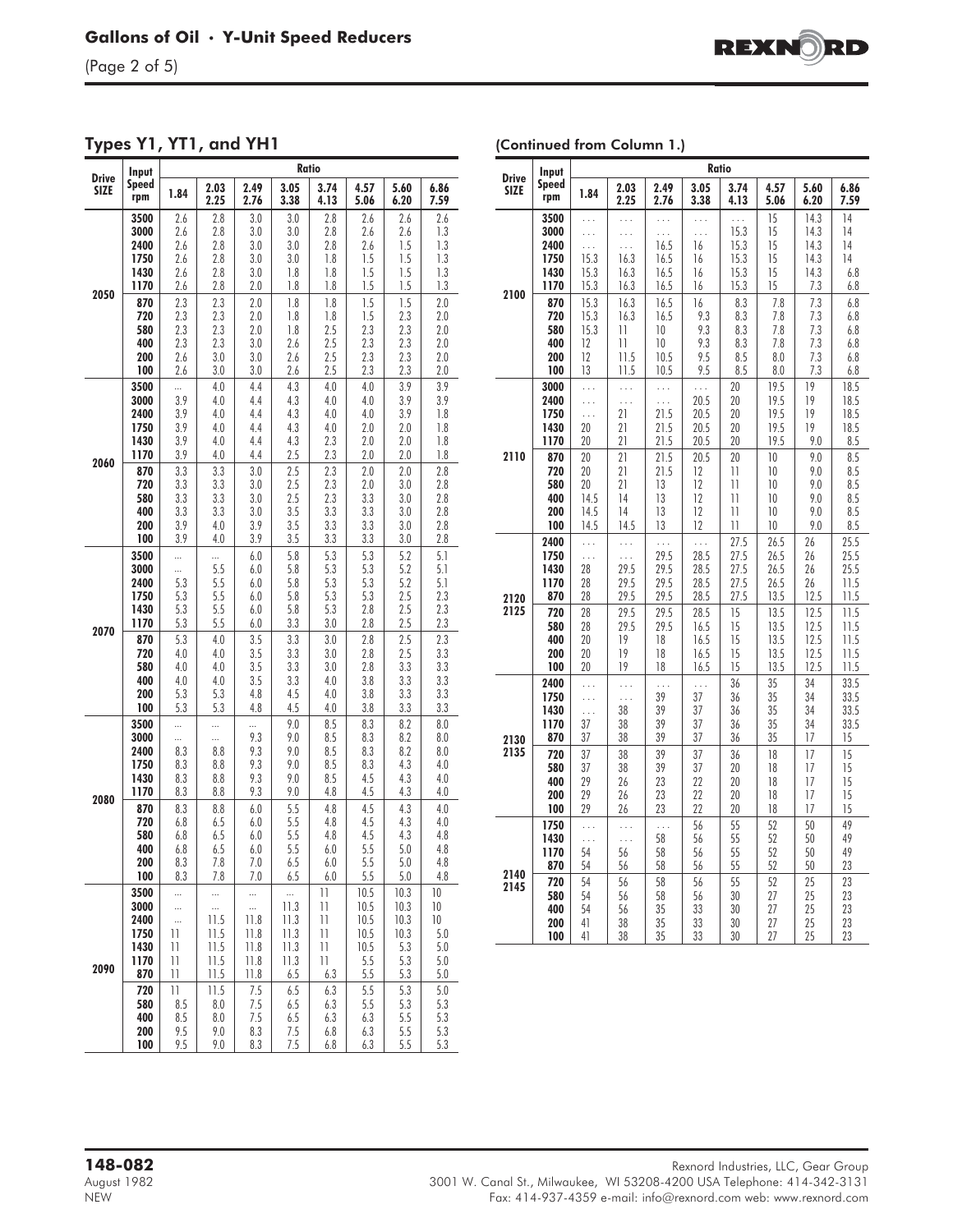(Page 2 of 5)

Types Y1, YT1, and YH1

| (Continued from Column 1.) |  |
|----------------------------|--|
|----------------------------|--|

|                                                              | Input        |                  |              | Ratio<br>3.05<br>2.49<br>3.74<br>4.57<br>5.60<br>4.13<br>2.76<br>3.38<br>5.06<br>6.20<br>3.0<br>3.0<br>2.8<br>2.6<br>2.6<br>3.0<br>3.0<br>2.8<br>2.6<br>2.6<br>3.0<br>2.8<br>2.6<br>1.5<br>3.0<br>3.0<br>3.0<br>1.8<br>1.5<br>1.5<br>1.5<br>3.0<br>1.8<br>1.8<br>1.5<br>1.5<br>1.5<br>2.0<br>1.8<br>1.8<br>1.5<br>1.5<br>2.0<br>1.8<br>1.8<br>1.8<br>2.3<br>2.0<br>1.8<br>1.5<br>2.5<br>2.3<br>2.0<br>1.8<br>2.3<br>2.5<br>2.3<br>2.3<br>3.0<br>2.6<br>2.6<br>2.5<br>2.3<br>2.3<br>3.0<br>2.5<br>2.3<br>2.3<br>3.0<br>2.6<br>4.4<br>4.3<br>4.0<br>4.0<br>3.9<br>4.3<br>4.0<br>3.9<br>4.4<br>4.0<br>4.3<br>4.0<br>4.4<br>4.0<br>3.9<br>4.4<br>4.3<br>4.0<br>2.0<br>2.0<br>4.4<br>4.3<br>2.3<br>2.0<br>2.0<br>2.5<br>2.3<br>2.0<br>2.0<br>4.4<br>2.5<br>2.3<br>3.0<br>2.0<br>2.0<br>2.5<br>2.3<br>3.0<br>2.0<br>3.0<br>2.5<br>2.3<br>3.3<br>3.0<br>3.0<br>3.0<br>3.5<br>3.3<br>3.3<br>3.0<br>3.5<br>3.3<br>3.9<br>3.3<br>3.0<br>3.5<br>3.3<br>3.3<br>3.9<br>3.0<br>5.3<br>5.8<br>5.3<br>5.2<br>$6.0\,$<br>5.8<br>5.3<br>5.3<br>5.2<br>6.0<br>5.8<br>5.3<br>5.3<br>5.2<br>6.0<br>5.3<br>5.8<br>5.3<br>2.5<br>6.0<br>5.8<br>5.3<br>2.5<br>2.8<br>6.0<br>3.3<br>3.0<br>2.5<br>6.0<br>2.8<br>3.3<br>2.5<br>3.5<br>3.0<br>2.8<br>3.5<br>3.3<br>3.0<br>2.8<br>2.5<br>3.5<br>3.3<br>3.0<br>2.8<br>3.3<br>3.5<br>3.3<br>4.0<br>3.8<br>3.3<br>4.8<br>4.5<br>4.0<br>3.8<br>3.3<br>4.8<br>4.5<br>4.0<br>3.8<br>3.3<br>9.0<br>8.5<br>8.3<br>8.2<br><br>8.5<br>9.3<br>9.0<br>8.3<br>8.2<br>8.5<br>9.3<br>9.0<br>8.3<br>8.2<br>8.5<br>4.3<br>9.3<br>9.0<br>8.3<br>9.3<br>9.0<br>8.5<br>4.5<br>4.3<br>4.8<br>4.3<br>9.3<br>9.0<br>4.5<br>5.5<br>4.5<br>4.3<br>6.0<br>4.8<br>5.5<br>4.8<br>4.5<br>4.3<br>6.0<br>5.5<br>4.8<br>4.5<br>4.3<br>6.0<br>5.5<br>5.5<br>6.0<br>6.0<br>5.0<br>7.0<br>6.5<br>6.0<br>5.5<br>5.0<br>5.5<br>7.0<br>6.5<br>6.0<br>5.0<br>$\mathbf{1}$<br>10.5<br>10.3<br><br> |              |                                                  |              |             |              |
|--------------------------------------------------------------|--------------|------------------|--------------|--------------------------------------------------------------------------------------------------------------------------------------------------------------------------------------------------------------------------------------------------------------------------------------------------------------------------------------------------------------------------------------------------------------------------------------------------------------------------------------------------------------------------------------------------------------------------------------------------------------------------------------------------------------------------------------------------------------------------------------------------------------------------------------------------------------------------------------------------------------------------------------------------------------------------------------------------------------------------------------------------------------------------------------------------------------------------------------------------------------------------------------------------------------------------------------------------------------------------------------------------------------------------------------------------------------------------------------------------------------------------------------------------------------------------------------------------------------------------------------------------------------------------------------------------------------------------------------------------------------------------------------------------------------------------------------------------------------------------------------------------------------------------------------------------------------------------------------------------------------------------------|--------------|--------------------------------------------------|--------------|-------------|--------------|
| Drive<br><b>SIZE</b><br>2050<br>2060<br>2070<br>2080<br>2090 | Speed<br>rpm | 1.84             | 2.03<br>2.25 |                                                                                                                                                                                                                                                                                                                                                                                                                                                                                                                                                                                                                                                                                                                                                                                                                                                                                                                                                                                                                                                                                                                                                                                                                                                                                                                                                                                                                                                                                                                                                                                                                                                                                                                                                                                                                                                                                |              |                                                  |              |             | 6.86<br>7.59 |
|                                                              | 3500         | 2.6              | 2.8          |                                                                                                                                                                                                                                                                                                                                                                                                                                                                                                                                                                                                                                                                                                                                                                                                                                                                                                                                                                                                                                                                                                                                                                                                                                                                                                                                                                                                                                                                                                                                                                                                                                                                                                                                                                                                                                                                                |              |                                                  |              |             | 2.6          |
|                                                              | 3000<br>2400 | 2.6<br>2.6       | 2.8<br>2.8   |                                                                                                                                                                                                                                                                                                                                                                                                                                                                                                                                                                                                                                                                                                                                                                                                                                                                                                                                                                                                                                                                                                                                                                                                                                                                                                                                                                                                                                                                                                                                                                                                                                                                                                                                                                                                                                                                                |              |                                                  |              |             | 1.3<br>1.3   |
|                                                              | 1750         | 2.6              | 2.8          |                                                                                                                                                                                                                                                                                                                                                                                                                                                                                                                                                                                                                                                                                                                                                                                                                                                                                                                                                                                                                                                                                                                                                                                                                                                                                                                                                                                                                                                                                                                                                                                                                                                                                                                                                                                                                                                                                |              |                                                  |              |             | 1.3          |
|                                                              | 1430         | 2.6              | 2.8          |                                                                                                                                                                                                                                                                                                                                                                                                                                                                                                                                                                                                                                                                                                                                                                                                                                                                                                                                                                                                                                                                                                                                                                                                                                                                                                                                                                                                                                                                                                                                                                                                                                                                                                                                                                                                                                                                                |              |                                                  |              |             | 1.3          |
|                                                              | 1170         | 2.6              | 2.8          |                                                                                                                                                                                                                                                                                                                                                                                                                                                                                                                                                                                                                                                                                                                                                                                                                                                                                                                                                                                                                                                                                                                                                                                                                                                                                                                                                                                                                                                                                                                                                                                                                                                                                                                                                                                                                                                                                |              |                                                  |              |             | 1.3          |
|                                                              | 870<br>720   | 2.3<br>2.3       | 2.3<br>2.3   |                                                                                                                                                                                                                                                                                                                                                                                                                                                                                                                                                                                                                                                                                                                                                                                                                                                                                                                                                                                                                                                                                                                                                                                                                                                                                                                                                                                                                                                                                                                                                                                                                                                                                                                                                                                                                                                                                |              |                                                  |              |             | 2.0<br>2.0   |
|                                                              | 580          | 2.3              | 2.3          |                                                                                                                                                                                                                                                                                                                                                                                                                                                                                                                                                                                                                                                                                                                                                                                                                                                                                                                                                                                                                                                                                                                                                                                                                                                                                                                                                                                                                                                                                                                                                                                                                                                                                                                                                                                                                                                                                |              |                                                  |              |             | 2.0          |
|                                                              | 400          | 2.3              | 2.3          |                                                                                                                                                                                                                                                                                                                                                                                                                                                                                                                                                                                                                                                                                                                                                                                                                                                                                                                                                                                                                                                                                                                                                                                                                                                                                                                                                                                                                                                                                                                                                                                                                                                                                                                                                                                                                                                                                |              |                                                  |              |             | 2.0          |
|                                                              | 200          | 2.6              | 3.0          |                                                                                                                                                                                                                                                                                                                                                                                                                                                                                                                                                                                                                                                                                                                                                                                                                                                                                                                                                                                                                                                                                                                                                                                                                                                                                                                                                                                                                                                                                                                                                                                                                                                                                                                                                                                                                                                                                |              |                                                  |              |             | 2.0          |
|                                                              | 100          | 2.6              | 3.0          |                                                                                                                                                                                                                                                                                                                                                                                                                                                                                                                                                                                                                                                                                                                                                                                                                                                                                                                                                                                                                                                                                                                                                                                                                                                                                                                                                                                                                                                                                                                                                                                                                                                                                                                                                                                                                                                                                |              |                                                  |              |             | 2.0          |
|                                                              | 3500<br>3000 | <br>3.9          | 4.0<br>4.0   |                                                                                                                                                                                                                                                                                                                                                                                                                                                                                                                                                                                                                                                                                                                                                                                                                                                                                                                                                                                                                                                                                                                                                                                                                                                                                                                                                                                                                                                                                                                                                                                                                                                                                                                                                                                                                                                                                |              |                                                  |              |             | 3.9<br>3.9   |
|                                                              | 2400         | 3.9              | 4.0          |                                                                                                                                                                                                                                                                                                                                                                                                                                                                                                                                                                                                                                                                                                                                                                                                                                                                                                                                                                                                                                                                                                                                                                                                                                                                                                                                                                                                                                                                                                                                                                                                                                                                                                                                                                                                                                                                                |              |                                                  |              |             | 1.8          |
|                                                              | 1750         | 3.9              | 4.0          |                                                                                                                                                                                                                                                                                                                                                                                                                                                                                                                                                                                                                                                                                                                                                                                                                                                                                                                                                                                                                                                                                                                                                                                                                                                                                                                                                                                                                                                                                                                                                                                                                                                                                                                                                                                                                                                                                |              |                                                  |              |             | 1.8          |
|                                                              | 1430         | 3.9              | 4.0          |                                                                                                                                                                                                                                                                                                                                                                                                                                                                                                                                                                                                                                                                                                                                                                                                                                                                                                                                                                                                                                                                                                                                                                                                                                                                                                                                                                                                                                                                                                                                                                                                                                                                                                                                                                                                                                                                                |              |                                                  |              |             | 1.8          |
|                                                              | 1170         | 3.9              | 4.0          |                                                                                                                                                                                                                                                                                                                                                                                                                                                                                                                                                                                                                                                                                                                                                                                                                                                                                                                                                                                                                                                                                                                                                                                                                                                                                                                                                                                                                                                                                                                                                                                                                                                                                                                                                                                                                                                                                |              |                                                  |              |             | 1.8          |
|                                                              | 870<br>720   | 3.3<br>3.3       | 3.3<br>3.3   |                                                                                                                                                                                                                                                                                                                                                                                                                                                                                                                                                                                                                                                                                                                                                                                                                                                                                                                                                                                                                                                                                                                                                                                                                                                                                                                                                                                                                                                                                                                                                                                                                                                                                                                                                                                                                                                                                |              |                                                  |              |             | 2.8<br>2.8   |
|                                                              | 580          | 3.3              | 3.3          |                                                                                                                                                                                                                                                                                                                                                                                                                                                                                                                                                                                                                                                                                                                                                                                                                                                                                                                                                                                                                                                                                                                                                                                                                                                                                                                                                                                                                                                                                                                                                                                                                                                                                                                                                                                                                                                                                |              |                                                  |              |             | 2.8          |
|                                                              | 400          | 3.3              | 3.3          |                                                                                                                                                                                                                                                                                                                                                                                                                                                                                                                                                                                                                                                                                                                                                                                                                                                                                                                                                                                                                                                                                                                                                                                                                                                                                                                                                                                                                                                                                                                                                                                                                                                                                                                                                                                                                                                                                |              |                                                  |              |             | 2.8          |
|                                                              | 200          | 3.9              | 4.0          |                                                                                                                                                                                                                                                                                                                                                                                                                                                                                                                                                                                                                                                                                                                                                                                                                                                                                                                                                                                                                                                                                                                                                                                                                                                                                                                                                                                                                                                                                                                                                                                                                                                                                                                                                                                                                                                                                |              |                                                  |              |             | 2.8          |
|                                                              | 100          | 3.9              | 4.0          |                                                                                                                                                                                                                                                                                                                                                                                                                                                                                                                                                                                                                                                                                                                                                                                                                                                                                                                                                                                                                                                                                                                                                                                                                                                                                                                                                                                                                                                                                                                                                                                                                                                                                                                                                                                                                                                                                |              |                                                  |              |             | 2.8          |
|                                                              | 3500<br>3000 | <br>             | <br>5.5      |                                                                                                                                                                                                                                                                                                                                                                                                                                                                                                                                                                                                                                                                                                                                                                                                                                                                                                                                                                                                                                                                                                                                                                                                                                                                                                                                                                                                                                                                                                                                                                                                                                                                                                                                                                                                                                                                                |              |                                                  |              |             | 5.1<br>5.1   |
|                                                              | 2400         | 5.3              | 5.5          |                                                                                                                                                                                                                                                                                                                                                                                                                                                                                                                                                                                                                                                                                                                                                                                                                                                                                                                                                                                                                                                                                                                                                                                                                                                                                                                                                                                                                                                                                                                                                                                                                                                                                                                                                                                                                                                                                |              |                                                  |              |             | 5.1          |
|                                                              | 1750         | 5.3              | 5.5          |                                                                                                                                                                                                                                                                                                                                                                                                                                                                                                                                                                                                                                                                                                                                                                                                                                                                                                                                                                                                                                                                                                                                                                                                                                                                                                                                                                                                                                                                                                                                                                                                                                                                                                                                                                                                                                                                                |              |                                                  |              |             | 2.3          |
|                                                              | 1430         | 5.3              | 5.5          |                                                                                                                                                                                                                                                                                                                                                                                                                                                                                                                                                                                                                                                                                                                                                                                                                                                                                                                                                                                                                                                                                                                                                                                                                                                                                                                                                                                                                                                                                                                                                                                                                                                                                                                                                                                                                                                                                |              |                                                  |              |             | 2.3          |
|                                                              | 1170         | 5.3              | 5.5          |                                                                                                                                                                                                                                                                                                                                                                                                                                                                                                                                                                                                                                                                                                                                                                                                                                                                                                                                                                                                                                                                                                                                                                                                                                                                                                                                                                                                                                                                                                                                                                                                                                                                                                                                                                                                                                                                                |              |                                                  |              |             | 2.3          |
|                                                              | 870<br>720   | 5.3<br>4.0       | 4.0<br>4.0   |                                                                                                                                                                                                                                                                                                                                                                                                                                                                                                                                                                                                                                                                                                                                                                                                                                                                                                                                                                                                                                                                                                                                                                                                                                                                                                                                                                                                                                                                                                                                                                                                                                                                                                                                                                                                                                                                                |              |                                                  |              |             | 2.3<br>3.3   |
|                                                              | 580          | 4.0              | 4.0          |                                                                                                                                                                                                                                                                                                                                                                                                                                                                                                                                                                                                                                                                                                                                                                                                                                                                                                                                                                                                                                                                                                                                                                                                                                                                                                                                                                                                                                                                                                                                                                                                                                                                                                                                                                                                                                                                                |              |                                                  |              |             | 3.3          |
|                                                              | 400          | 4.0              | 4.0          |                                                                                                                                                                                                                                                                                                                                                                                                                                                                                                                                                                                                                                                                                                                                                                                                                                                                                                                                                                                                                                                                                                                                                                                                                                                                                                                                                                                                                                                                                                                                                                                                                                                                                                                                                                                                                                                                                |              |                                                  |              |             | 3.3          |
|                                                              | 200          | 5.3              | 5.3          |                                                                                                                                                                                                                                                                                                                                                                                                                                                                                                                                                                                                                                                                                                                                                                                                                                                                                                                                                                                                                                                                                                                                                                                                                                                                                                                                                                                                                                                                                                                                                                                                                                                                                                                                                                                                                                                                                |              |                                                  |              |             | 3.3          |
|                                                              | 100<br>3500  | 5.3<br>$\ddotsc$ | 5.3<br>      |                                                                                                                                                                                                                                                                                                                                                                                                                                                                                                                                                                                                                                                                                                                                                                                                                                                                                                                                                                                                                                                                                                                                                                                                                                                                                                                                                                                                                                                                                                                                                                                                                                                                                                                                                                                                                                                                                |              |                                                  |              |             | 3.3<br>8.0   |
|                                                              | 3000         |                  |              |                                                                                                                                                                                                                                                                                                                                                                                                                                                                                                                                                                                                                                                                                                                                                                                                                                                                                                                                                                                                                                                                                                                                                                                                                                                                                                                                                                                                                                                                                                                                                                                                                                                                                                                                                                                                                                                                                |              |                                                  |              |             | 8.0          |
|                                                              | 2400         | 8.3              | 8.8          |                                                                                                                                                                                                                                                                                                                                                                                                                                                                                                                                                                                                                                                                                                                                                                                                                                                                                                                                                                                                                                                                                                                                                                                                                                                                                                                                                                                                                                                                                                                                                                                                                                                                                                                                                                                                                                                                                |              |                                                  |              |             | 8.0          |
|                                                              | 1750         | 8.3              | 8.8          |                                                                                                                                                                                                                                                                                                                                                                                                                                                                                                                                                                                                                                                                                                                                                                                                                                                                                                                                                                                                                                                                                                                                                                                                                                                                                                                                                                                                                                                                                                                                                                                                                                                                                                                                                                                                                                                                                |              |                                                  |              |             | 4.0          |
|                                                              | 1430<br>1170 | 8.3<br>8.3       | 8.8<br>8.8   |                                                                                                                                                                                                                                                                                                                                                                                                                                                                                                                                                                                                                                                                                                                                                                                                                                                                                                                                                                                                                                                                                                                                                                                                                                                                                                                                                                                                                                                                                                                                                                                                                                                                                                                                                                                                                                                                                |              |                                                  |              |             | 4.0<br>4.0   |
|                                                              | 870          | 8.3              | 8.8          |                                                                                                                                                                                                                                                                                                                                                                                                                                                                                                                                                                                                                                                                                                                                                                                                                                                                                                                                                                                                                                                                                                                                                                                                                                                                                                                                                                                                                                                                                                                                                                                                                                                                                                                                                                                                                                                                                |              |                                                  |              |             | 4.0          |
|                                                              | 720          | 6.8              | 6.5          |                                                                                                                                                                                                                                                                                                                                                                                                                                                                                                                                                                                                                                                                                                                                                                                                                                                                                                                                                                                                                                                                                                                                                                                                                                                                                                                                                                                                                                                                                                                                                                                                                                                                                                                                                                                                                                                                                |              |                                                  |              |             | 4.0          |
|                                                              | 580          | 6.8              | 6.5          |                                                                                                                                                                                                                                                                                                                                                                                                                                                                                                                                                                                                                                                                                                                                                                                                                                                                                                                                                                                                                                                                                                                                                                                                                                                                                                                                                                                                                                                                                                                                                                                                                                                                                                                                                                                                                                                                                |              |                                                  |              |             | 4.8          |
|                                                              | 400          | 6.8              | 6.5          |                                                                                                                                                                                                                                                                                                                                                                                                                                                                                                                                                                                                                                                                                                                                                                                                                                                                                                                                                                                                                                                                                                                                                                                                                                                                                                                                                                                                                                                                                                                                                                                                                                                                                                                                                                                                                                                                                |              |                                                  |              |             | 4.8          |
|                                                              | 200<br>100   | 8.3<br>8.3       | 7.8<br>7.8   |                                                                                                                                                                                                                                                                                                                                                                                                                                                                                                                                                                                                                                                                                                                                                                                                                                                                                                                                                                                                                                                                                                                                                                                                                                                                                                                                                                                                                                                                                                                                                                                                                                                                                                                                                                                                                                                                                |              |                                                  |              |             | 4.8<br>4.8   |
|                                                              | 3500         |                  |              |                                                                                                                                                                                                                                                                                                                                                                                                                                                                                                                                                                                                                                                                                                                                                                                                                                                                                                                                                                                                                                                                                                                                                                                                                                                                                                                                                                                                                                                                                                                                                                                                                                                                                                                                                                                                                                                                                |              |                                                  |              |             | 10           |
|                                                              | 3000         |                  |              |                                                                                                                                                                                                                                                                                                                                                                                                                                                                                                                                                                                                                                                                                                                                                                                                                                                                                                                                                                                                                                                                                                                                                                                                                                                                                                                                                                                                                                                                                                                                                                                                                                                                                                                                                                                                                                                                                | 11.3         | $\begin{array}{c} \hline \end{array}$            | 10.5         | 10.3        | 10           |
|                                                              | 2400         |                  | 11.5         | 11.8                                                                                                                                                                                                                                                                                                                                                                                                                                                                                                                                                                                                                                                                                                                                                                                                                                                                                                                                                                                                                                                                                                                                                                                                                                                                                                                                                                                                                                                                                                                                                                                                                                                                                                                                                                                                                                                                           | 11.3         | $\begin{array}{c} \hline \end{array}$            | 10.5         | 10.3        | 10           |
|                                                              | 1750<br>1430 | 11<br>11         | 11.5<br>11.5 | 11.8<br>11.8                                                                                                                                                                                                                                                                                                                                                                                                                                                                                                                                                                                                                                                                                                                                                                                                                                                                                                                                                                                                                                                                                                                                                                                                                                                                                                                                                                                                                                                                                                                                                                                                                                                                                                                                                                                                                                                                   | 11.3<br>11.3 | $\begin{array}{c} \hline \end{array}$<br>$\vert$ | 10.5<br>10.5 | 10.3<br>5.3 | 5.0<br>5.0   |
|                                                              | 1170         | П                | 11.5         | 11.8                                                                                                                                                                                                                                                                                                                                                                                                                                                                                                                                                                                                                                                                                                                                                                                                                                                                                                                                                                                                                                                                                                                                                                                                                                                                                                                                                                                                                                                                                                                                                                                                                                                                                                                                                                                                                                                                           | 11.3         | $\mathbf{1}$                                     | 5.5          | 5.3         | 5.0          |
|                                                              | 870          | 11               | 11.5         | 11.8                                                                                                                                                                                                                                                                                                                                                                                                                                                                                                                                                                                                                                                                                                                                                                                                                                                                                                                                                                                                                                                                                                                                                                                                                                                                                                                                                                                                                                                                                                                                                                                                                                                                                                                                                                                                                                                                           | 6.5          | 6.3                                              | 5.5          | 5.3         | 5.0          |
|                                                              | 720          | 11               | 11.5         | 7.5                                                                                                                                                                                                                                                                                                                                                                                                                                                                                                                                                                                                                                                                                                                                                                                                                                                                                                                                                                                                                                                                                                                                                                                                                                                                                                                                                                                                                                                                                                                                                                                                                                                                                                                                                                                                                                                                            | 6.5          | 6.3                                              | 5.5          | 5.3         | 5.0          |
|                                                              | 580          | 8.5              | 8.0          | 7.5                                                                                                                                                                                                                                                                                                                                                                                                                                                                                                                                                                                                                                                                                                                                                                                                                                                                                                                                                                                                                                                                                                                                                                                                                                                                                                                                                                                                                                                                                                                                                                                                                                                                                                                                                                                                                                                                            | 6.5          | 6.3                                              | 5.5          | 5.3         | 5.3          |
|                                                              | 400<br>200   | 8.5<br>9.5       | 8.0<br>9.0   | 7.5<br>8.3                                                                                                                                                                                                                                                                                                                                                                                                                                                                                                                                                                                                                                                                                                                                                                                                                                                                                                                                                                                                                                                                                                                                                                                                                                                                                                                                                                                                                                                                                                                                                                                                                                                                                                                                                                                                                                                                     | 6.5<br>7.5   | 6.3<br>6.8                                       | 6.3<br>6.3   | 5.5<br>5.5  | 5.3<br>5.3   |
|                                                              | 100          | 9.5              | 9.0          | 8.3                                                                                                                                                                                                                                                                                                                                                                                                                                                                                                                                                                                                                                                                                                                                                                                                                                                                                                                                                                                                                                                                                                                                                                                                                                                                                                                                                                                                                                                                                                                                                                                                                                                                                                                                                                                                                                                                            | 7.5          | 6.8                                              | 6.3          | 5.5         | 5.3          |
|                                                              |              |                  |              |                                                                                                                                                                                                                                                                                                                                                                                                                                                                                                                                                                                                                                                                                                                                                                                                                                                                                                                                                                                                                                                                                                                                                                                                                                                                                                                                                                                                                                                                                                                                                                                                                                                                                                                                                                                                                                                                                |              |                                                  |              |             |              |

|              | Input                                        |                                  |                                                                       |                                             |                                       | Ratio                                |                                  |                                             |                                    |
|--------------|----------------------------------------------|----------------------------------|-----------------------------------------------------------------------|---------------------------------------------|---------------------------------------|--------------------------------------|----------------------------------|---------------------------------------------|------------------------------------|
| <b>Drive</b> | <b>Speed</b>                                 | 1.84                             | 2.03                                                                  | 2.49                                        | 3.05                                  | 3.74                                 | 4.57                             | 5.60                                        | 6.86                               |
| <b>SIZE</b>  | rpm                                          |                                  | 2.25                                                                  | 2.76                                        | 3.38                                  | 4.13                                 | 5.06                             | 6.20                                        | 7.59                               |
|              | 3500<br>3000<br>2400<br>1750<br>1430<br>1170 | $\cdots$<br>15.3<br>15.3<br>15.3 | $\cdots$<br>$\ddotsc$<br>$\ddot{\phantom{0}}$<br>16.3<br>16.3<br>16.3 | $\sim$<br>.<br>16.5<br>16.5<br>16.5<br>16.5 | .<br>$\cdots$<br>16<br>16<br>16<br>16 | 15.3<br>15.3<br>15.3<br>15.3<br>15.3 | 15<br>15<br>15<br>15<br>15<br>15 | 14.3<br>14.3<br>14.3<br>14.3<br>14.3<br>7.3 | 14<br>14<br>14<br>14<br>6.8<br>6.8 |
| 2100         | 870                                          | 15.3                             | 16.3                                                                  | 16.5                                        | 16                                    | 8.3                                  | 7.8                              | 7.3                                         | 6.8                                |
|              | 720                                          | 15.3                             | 16.3                                                                  | 16.5                                        | 9.3                                   | 8.3                                  | 7.8                              | 7.3                                         | 6.8                                |
|              | 580                                          | 15.3                             | 11                                                                    | 10                                          | 9.3                                   | 8.3                                  | 7.8                              | 7.3                                         | 6.8                                |
|              | 400                                          | 12                               | 11                                                                    | 10                                          | 9.3                                   | 8.3                                  | 7.8                              | 7.3                                         | 6.8                                |
|              | 200                                          | 12                               | 11.5                                                                  | 10.5                                        | 9.5                                   | 8.5                                  | 8.0                              | 7.3                                         | 6.8                                |
|              | 100                                          | 13                               | 11.5                                                                  | 10.5                                        | 9.5                                   | 8.5                                  | 8.0                              | 7.3                                         | 6.8                                |
|              | 3000                                         | $\cdots$                         | .                                                                     | $\ddot{\phantom{0}}$                        | .                                     | 20                                   | 19.5                             | 19                                          | 18.5                               |
|              | 2400                                         | $\cdots$                         | $\cdots$                                                              | .                                           | 20.5                                  | 20                                   | 19.5                             | 19                                          | 18.5                               |
|              | 1750                                         | $\cdots$                         | 21                                                                    | 21.5                                        | 20.5                                  | 20                                   | 19.5                             | 19                                          | 18.5                               |
|              | 1430                                         | 20                               | 21                                                                    | 21.5                                        | 20.5                                  | 20                                   | 19.5                             | 19                                          | 18.5                               |
|              | 1170                                         | 20                               | 21                                                                    | 21.5                                        | 20.5                                  | 20                                   | 19.5                             | 9.0                                         | 8.5                                |
| 2110         | 870                                          | 20                               | 21                                                                    | 21.5                                        | 20.5                                  | 20                                   | 10                               | 9.0                                         | 8.5                                |
|              | 720                                          | 20                               | 21                                                                    | 21.5                                        | 12                                    | 11                                   | 10                               | 9.0                                         | 8.5                                |
|              | 580                                          | 20                               | 21                                                                    | 13                                          | 12                                    | 11                                   | 10                               | 9.0                                         | 8.5                                |
|              | 400                                          | 14.5                             | 14                                                                    | 13                                          | 12                                    | 11                                   | 10                               | 9.0                                         | 8.5                                |
|              | 200                                          | 14.5                             | 14                                                                    | 13                                          | 12                                    | 11                                   | 10                               | 9.0                                         | 8.5                                |
|              | 100                                          | 14.5                             | 14.5                                                                  | 13                                          | 12                                    | 11                                   | 10                               | 9.0                                         | 8.5                                |
| 2120         | 2400                                         | $\cdots$                         | $\cdots$                                                              | $\ldots$                                    | .                                     | 27.5                                 | 26.5                             | 26                                          | 25.5                               |
|              | 1750                                         | $\cdots$                         | .                                                                     | 29.5                                        | 28.5                                  | 27.5                                 | 26.5                             | 26                                          | 25.5                               |
|              | 1430                                         | 28                               | 29.5                                                                  | 29.5                                        | 28.5                                  | 27.5                                 | 26.5                             | 26                                          | 25.5                               |
|              | 1170                                         | 28                               | 29.5                                                                  | 29.5                                        | 28.5                                  | 27.5                                 | 26.5                             | 26                                          | 11.5                               |
|              | 870                                          | 28                               | 29.5                                                                  | 29.5                                        | 28.5                                  | 27.5                                 | 13.5                             | 12.5                                        | 11.5                               |
| 2125         | 720                                          | 28                               | 29.5                                                                  | 29.5                                        | 28.5                                  | 15                                   | 13.5                             | 12.5                                        | 11.5                               |
|              | 580                                          | 28                               | 29.5                                                                  | 29.5                                        | 16.5                                  | 15                                   | 13.5                             | 12.5                                        | 11.5                               |
|              | 400                                          | 20                               | 19                                                                    | 18                                          | 16.5                                  | 15                                   | 13.5                             | 12.5                                        | 11.5                               |
|              | 200                                          | 20                               | 19                                                                    | 18                                          | 16.5                                  | 15                                   | 13.5                             | 12.5                                        | 11.5                               |
|              | 100                                          | 20                               | 19                                                                    | 18                                          | 16.5                                  | 15                                   | 13.5                             | 12.5                                        | 11.5                               |
| 2130         | 2400                                         | $\cdots$                         | $\cdots$                                                              | .                                           | .                                     | 36                                   | 35                               | 34                                          | 33.5                               |
|              | 1750                                         | $\cdots$                         | $\cdots$                                                              | 39                                          | 37                                    | 36                                   | 35                               | 34                                          | 33.5                               |
|              | 1430                                         | $\cdots$                         | 38                                                                    | 39                                          | 37                                    | 36                                   | 35                               | 34                                          | 33.5                               |
|              | 1170                                         | 37                               | 38                                                                    | 39                                          | 37                                    | 36                                   | 35                               | 34                                          | 33.5                               |
|              | 870                                          | 37                               | 38                                                                    | 39                                          | 37                                    | 36                                   | 35                               | 17                                          | 15                                 |
| 2135         | 720                                          | 37                               | 38                                                                    | 39                                          | 37                                    | 36                                   | 18                               | 17                                          | 15                                 |
|              | 580                                          | 37                               | 38                                                                    | 39                                          | 37                                    | 20                                   | 18                               | 17                                          | 15                                 |
|              | 400                                          | 29                               | 26                                                                    | 23                                          | 22                                    | 20                                   | 18                               | 17                                          | 15                                 |
|              | 200                                          | 29                               | 26                                                                    | 23                                          | 22                                    | 20                                   | 18                               | 17                                          | 15                                 |
|              | 100                                          | 29                               | 26                                                                    | 23                                          | 22                                    | 20                                   | 18                               | 17                                          | 15                                 |
| 2140         | 1750                                         | $\cdots$                         | $\cdots$                                                              | $\cdots$                                    | 56                                    | 55                                   | 52                               | 50                                          | 49                                 |
|              | 1430                                         | $\cdots$                         | $\cdots$                                                              | 58                                          | 56                                    | 55                                   | 52                               | 50                                          | 49                                 |
|              | 1170                                         | 54                               | 56                                                                    | 58                                          | 56                                    | 55                                   | 52                               | 50                                          | 49                                 |
|              | 870                                          | 54                               | 56                                                                    | 58                                          | 56                                    | 55                                   | 52                               | 50                                          | 23                                 |
| 2145         | 720                                          | 54                               | 56                                                                    | 58                                          | 56                                    | 55                                   | 52                               | 25                                          | 23                                 |
|              | 580                                          | 54                               | 56                                                                    | 58                                          | 56                                    | 30                                   | 27                               | 25                                          | 23                                 |
|              | 400                                          | 54                               | 56                                                                    | 35                                          | 33                                    | 30                                   | 27                               | 25                                          | 23                                 |
|              | 200                                          | 41                               | 38                                                                    | 35                                          | 33                                    | 30                                   | 27                               | 25                                          | 23                                 |
|              | 100                                          | 41                               | 38                                                                    | 35                                          | 33                                    | 30                                   | 27                               | 25                                          | 23                                 |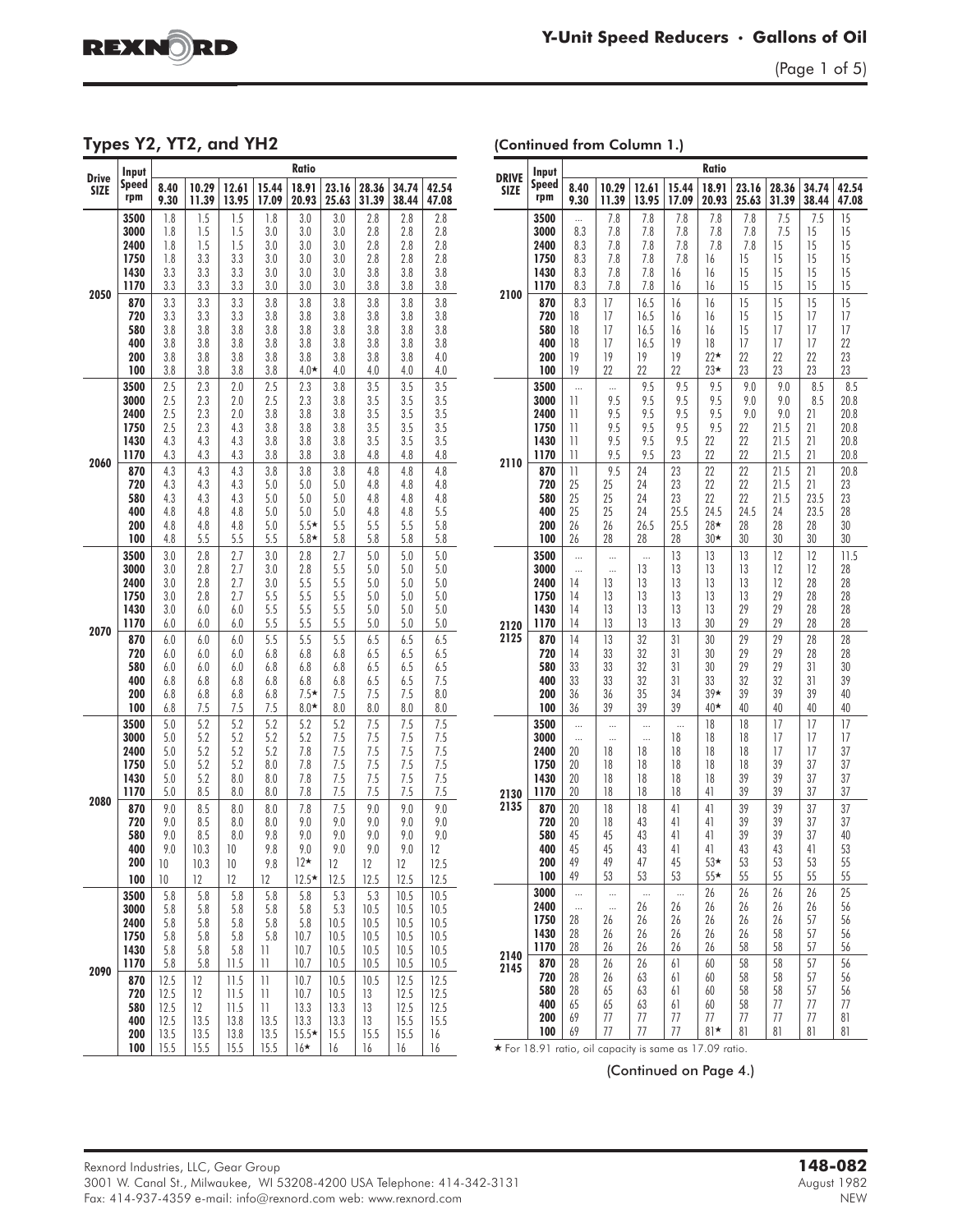

(Page 1 of 5)

Types Y2, YT2, and YH2

(Continued from Column 1.)

| <b>Drive</b> | Input                                        |                                              |                                        |                                              |                                                                        | Ratio                                            |                                            |                                             |                                              |                                              |
|--------------|----------------------------------------------|----------------------------------------------|----------------------------------------|----------------------------------------------|------------------------------------------------------------------------|--------------------------------------------------|--------------------------------------------|---------------------------------------------|----------------------------------------------|----------------------------------------------|
| <b>SIZE</b>  | Speed                                        | 8.40                                         | 10.29                                  | 12.61                                        | 15.44                                                                  | 18.91                                            | 23.16                                      | 28.36                                       | 34.74                                        | 42.54                                        |
|              | rpm                                          | 9.30                                         | 11.39                                  | 13.95                                        | 17.09                                                                  | 20.93                                            | 25.63                                      | 31.39                                       | 38.44                                        | 47.08                                        |
|              | 3500                                         | 1.8                                          | 1.5                                    | 1.5                                          | 1.8                                                                    | 3.0                                              | 3.0                                        | 2.8                                         | 2.8                                          | 2.8                                          |
|              | 3000                                         | 1.8                                          | 1.5                                    | 1.5                                          | 3.0                                                                    | 3.0                                              | 3.0                                        | 2.8                                         | 2.8                                          | 2.8                                          |
|              | 2400                                         | 1.8                                          | 1.5                                    | 1.5                                          | 3.0                                                                    | 3.0                                              | 3.0                                        | 2.8                                         | 2.8                                          | 2.8                                          |
|              | 1750                                         | 1.8                                          | 3.3                                    | 3.3                                          | 3.0                                                                    | 3.0                                              | 3.0                                        | 2.8                                         | 2.8                                          | 2.8                                          |
| 2050         | 1430                                         | 3.3                                          | 3.3                                    | 3.3                                          | 3.0                                                                    | 3.0                                              | 3.0                                        | 3.8                                         | 3.8                                          | 3.8                                          |
|              | 1170                                         | 3.3                                          | 3.3                                    | 3.3                                          | 3.0                                                                    | 3.0                                              | 3.0                                        | 3.8                                         | 3.8                                          | 3.8                                          |
|              | 870                                          | 3.3                                          | 3.3                                    | 3.3                                          | 3.8                                                                    | 3.8                                              | 3.8                                        | 3.8                                         | 3.8                                          | 3.8                                          |
|              | 720                                          | 3.3                                          | 3.3                                    | 3.3                                          | 3.8                                                                    | 3.8                                              | 3.8                                        | 3.8                                         | 3.8                                          | 3.8                                          |
|              | 580                                          | 3.8                                          | 3.8                                    | 3.8                                          | 3.8                                                                    | 3.8                                              | 3.8                                        | 3.8                                         | 3.8                                          | 3.8                                          |
|              | 400                                          | 3.8                                          | 3.8                                    | 3.8                                          | 3.8                                                                    | 3.8                                              | 3.8                                        | 3.8                                         | 3.8                                          | 3.8                                          |
|              | 200                                          | 3.8                                          | 3.8                                    | 3.8                                          | 3.8                                                                    | 3.8                                              | 3.8                                        | 3.8                                         | 3.8                                          | 4.0                                          |
|              | 100                                          | 3.8                                          | 3.8                                    | 3.8                                          | 3.8                                                                    | $4.0*$                                           | 4.0                                        | 4.0                                         | 4.0                                          | 4.0                                          |
|              | 3500                                         | 2.5                                          | 2.3                                    | 2.0                                          | 2.5                                                                    | 2.3                                              | 3.8                                        | 3.5                                         | 3.5                                          | 3.5                                          |
|              | 3000                                         | 2.5                                          | 2.3                                    | 2.0                                          | 2.5                                                                    | 2.3                                              | 3.8                                        | 3.5                                         | 3.5                                          | 3.5                                          |
| 2060         | 2400<br>1750<br>1430<br>1170                 | 2.5<br>2.5<br>4.3<br>4.3                     | 2.3<br>2.3<br>4.3<br>4.3               | 2.0<br>4.3<br>4.3<br>4.3                     | 3.8<br>3.8<br>3.8<br>3.8                                               | 3.8<br>3.8<br>3.8<br>3.8                         | 3.8<br>3.8<br>3.8<br>3.8                   | 3.5<br>3.5<br>3.5<br>4.8                    | 3.5<br>3.5<br>3.5<br>4.8                     | 3.5<br>3.5<br>3.5<br>4.8                     |
|              | 870<br>720<br>580<br>400<br>200<br>100       | 4.3<br>4.3<br>4.3<br>4.8<br>4.8<br>4.8       | 4.3<br>4.3<br>4.3<br>4.8<br>4.8<br>5.5 | 4.3<br>4.3<br>4.3<br>4.8<br>4.8<br>5.5       | 3.8<br>5.0<br>5.0<br>5.0<br>5.0<br>5.5                                 | 3.8<br>5.0<br>5.0<br>5.0<br>$5.5*$<br>$5.8*$     | 3.8<br>5.0<br>5.0<br>5.0<br>5.5<br>5.8     | 4.8<br>4.8<br>4.8<br>4.8<br>5.5<br>5.8      | 4.8<br>4.8<br>4.8<br>4.8<br>5.5<br>5.8       | 4.8<br>4.8<br>4.8<br>5.5<br>5.8<br>5.8       |
|              | 3500                                         | 3.0                                          | 2.8                                    | 2.7                                          | 3.0                                                                    | 2.8                                              | 2.7                                        | 5.0                                         | 5.0                                          | 5.0                                          |
|              | 3000                                         | 3.0                                          | 2.8                                    | 2.7                                          | 3.0                                                                    | 2.8                                              | 5.5                                        | 5.0                                         | 5.0                                          | 5.0                                          |
|              | 2400                                         | 3.0                                          | 2.8                                    | 2.7                                          | 3.0                                                                    | 5.5                                              | 5.5                                        | 5.0                                         | 5.0                                          | 5.0                                          |
|              | 1750                                         | 3.0                                          | 2.8                                    | 2.7                                          | 5.5                                                                    | 5.5                                              | 5.5                                        | 5.0                                         | 5.0                                          | 5.0                                          |
|              | 1430                                         | 3.0                                          | 6.0                                    | 6.0                                          | 5.5                                                                    | 5.5                                              | 5.5                                        | 5.0                                         | 5.0                                          | 5.0                                          |
|              | 1170                                         | 6.0                                          | 6.0                                    | 6.0                                          | 5.5                                                                    | 5.5                                              | 5.5                                        | 5.0                                         | 5.0                                          | 5.0                                          |
| 2070         | 870                                          | 6.0                                          | 6.0                                    | 6.0                                          | 5.5                                                                    | 5.5                                              | 5.5                                        | 6.5                                         | 6.5                                          | 6.5                                          |
|              | 720                                          | 6.0                                          | 6.0                                    | 6.0                                          | 6.8                                                                    | 6.8                                              | 6.8                                        | 6.5                                         | 6.5                                          | 6.5                                          |
|              | 580                                          | 6.0                                          | 6.0                                    | 6.0                                          | 6.8                                                                    | 6.8                                              | 6.8                                        | 6.5                                         | 6.5                                          | 6.5                                          |
|              | 400                                          | 6.8                                          | 6.8                                    | 6.8                                          | 6.8                                                                    | 6.8                                              | 6.8                                        | 6.5                                         | 6.5                                          | 7.5                                          |
|              | 200                                          | 6.8                                          | 6.8                                    | 6.8                                          | 6.8                                                                    | $7.5*$                                           | 7.5                                        | 7.5                                         | 7.5                                          | 8.0                                          |
|              | 100                                          | 6.8                                          | 7.5                                    | 7.5                                          | 7.5                                                                    | $8.0*$                                           | 8.0                                        | 8.0                                         | 8.0                                          | 8.0                                          |
|              | 3500                                         | 5.0                                          | 5.2                                    | 5.2                                          | 5.2                                                                    | 5.2                                              | 5.2                                        | 7.5                                         | 7.5                                          | 7.5                                          |
|              | 3000                                         | 5.0                                          | 5.2                                    | 5.2                                          | 5.2                                                                    | 5.2                                              | 7.5                                        | 7.5                                         | 7.5                                          | 7.5                                          |
|              | 2400                                         | 5.0                                          | 5.2                                    | 5.2                                          | 5.2                                                                    | 7.8                                              | 7.5                                        | 7.5                                         | 7.5                                          | 7.5                                          |
|              | 1750                                         | 5.0                                          | 5.2                                    | 5.2                                          | 8.0                                                                    | 7.8                                              | 7.5                                        | 7.5                                         | 7.5                                          | 7.5                                          |
|              | 1430                                         | 5.0                                          | 5.2                                    | 0.8                                          | 8.0                                                                    | 7.8                                              | 7.5                                        | 7.5                                         | 7.5                                          | 7.5                                          |
|              | 1170                                         | 5.0                                          | 8.5                                    | 8.0                                          | 8.0                                                                    | 7.8                                              | 7.5                                        | 7.5                                         | 7.5                                          | 7.5                                          |
| 2080         | 870                                          | 9.0                                          | 8.5                                    | 8.0                                          | 8.0                                                                    | 7.8                                              | 7.5                                        | 9.0                                         | 9.0                                          | 9.0                                          |
|              | 720                                          | 9.0                                          | 8.5                                    | 8.0                                          | 8.0                                                                    | 9.0                                              | 9.0                                        | 9.0                                         | 9.0                                          | 9.0                                          |
|              | 580                                          | 9.0                                          | 8.5                                    | 8.0                                          | 9.8                                                                    | 9.0                                              | 9.0                                        | 9.0                                         | 9.0                                          | 9.0                                          |
|              | 400                                          | 9.0                                          | 10.3                                   | 10                                           | 9.8                                                                    | 9.0                                              | 9.0                                        | 9.0                                         | 9.0                                          | 12                                           |
|              | 200                                          | $\sqrt{ }$                                   | 10.3                                   | $10\,$                                       | 9.8                                                                    | $12*$                                            | 12                                         | 12                                          | 12                                           | 12.5                                         |
|              | 100                                          | $\,10$                                       | 12                                     | 12                                           | 12                                                                     | $12.5*$                                          | 12.5                                       | 12.5                                        | 12.5                                         | 12.5                                         |
| 2090         | 3500<br>3000<br>2400<br>1750<br>1430<br>1170 | 5.8<br>5.8<br>5.8<br>5.8<br>5.8<br>5.8       | 5.8<br>5.8<br>5.8<br>5.8<br>5.8<br>5.8 | 5.8<br>5.8<br>5.8<br>5.8<br>5.8<br>11.5      | 5.8<br>5.8<br>5.8<br>5.8<br>$\overline{\phantom{a}}$<br>$\mathbf{1}$   | 5.8<br>5.8<br>5.8<br>10.7<br>10.7<br>10.7        | 5.3<br>5.3<br>10.5<br>10.5<br>10.5<br>10.5 | 5.3<br>10.5<br>10.5<br>10.5<br>10.5<br>10.5 | 10.5<br>10.5<br>10.5<br>10.5<br>10.5<br>10.5 | 10.5<br>10.5<br>10.5<br>10.5<br>10.5<br>10.5 |
|              | 870<br>720<br>580<br>400<br>200<br>100       | 12.5<br>12.5<br>12.5<br>12.5<br>13.5<br>15.5 | 12<br>12<br>12<br>13.5<br>13.5<br>15.5 | 11.5<br>11.5<br>11.5<br>13.8<br>13.8<br>15.5 | $\overline{\phantom{a}}$<br>11<br>$\mathbf{1}$<br>13.5<br>13.5<br>15.5 | 10.7<br>10.7<br>13.3<br>13.3<br>$15.5*$<br>$16*$ | 10.5<br>10.5<br>13.3<br>13.3<br>15.5<br>16 | 10.5<br>13<br>13<br>13<br>15.5<br>16        | 12.5<br>12.5<br>12.5<br>15.5<br>15.5<br>$16$ | 12.5<br>12.5<br>12.5<br>15.5<br>$16$<br>16   |

| <b>DRIVE</b> | Input        |                                       |                |                                                         |                | Ratio          |                |                |                |                |
|--------------|--------------|---------------------------------------|----------------|---------------------------------------------------------|----------------|----------------|----------------|----------------|----------------|----------------|
| <b>SIZE</b>  | Speed<br>rpm | 8.40<br>9.30                          | 10.29<br>11.39 | 12.61<br>13.95                                          | 15.44<br>17.09 | 18.91<br>20.93 | 23.16<br>25.63 | 28.36<br>31.39 | 34.74<br>38.44 | 42.54<br>47.08 |
|              | 3500         |                                       | 7.8            | 7.8                                                     | 7.8            | 7.8            | 7.8            | 7.5            | 7.5            | 15             |
|              | 3000         | 8.3                                   | 7.8            | 7.8                                                     | 7.8            | 7.8            | 7.8            | 7.5            | 15             | 15             |
|              | 2400<br>1750 | 8.3<br>8.3                            | 7.8<br>7.8     | 7.8<br>7.8                                              | 7.8<br>7.8     | 7.8<br>16      | 7.8<br>15      | 15<br>15       | 15<br>15       | 15<br>15       |
|              | 1430         | 8.3                                   | 7.8            | 7.8                                                     | $16\,$         | 16             | 15             | 15             | 15             | 15             |
|              | 1170         | 8.3                                   | 7.8            | 7.8                                                     | 16             | 16             | 15             | 15             | 15             | 15             |
| 2100         | 870          | 8.3                                   | 17             | 16.5                                                    | 16             | 16             | 15             | 15             | 15             | 15             |
|              | 720          | 18                                    | 17             | 16.5                                                    | 16             | 16             | 15             | 15             | 17             | 17             |
|              | 580<br>400   | 18<br>18                              | 17<br>17       | 16.5<br>16.5                                            | $16\,$<br> 9   | 16<br>$18\,$   | 15<br>17       | 17<br>17       | 17<br>17       | 17<br>22       |
|              | 200          | 19                                    | 19             | 19                                                      | 9              | $22*$          | 22             | 22             | 22             | 23             |
|              | 100          | 19                                    | 22             | 22                                                      | 22             | $23*$          | 23             | 23             | 23             | 23             |
|              | 3500         | $\cdots$                              |                | 9.5                                                     | 9.5            | 9.5            | 9.0            | 9.0            | 8.5            | 8.5            |
|              | 3000         | $\mathbf{1}$                          | 9.5            | 9.5                                                     | 9.5            | 9.5            | 9.0            | 9.0            | 8.5            | 20.8           |
|              | 2400<br>1750 | 11<br>$\overline{11}$                 | 9.5<br>9.5     | 9.5<br>9.5                                              | 9.5<br>9.5     | 9.5<br>9.5     | 9.0<br>22      | 9.0<br>21.5    | 21<br>21       | 20.8<br>20.8   |
| 2110         | 1430         | $\begin{array}{c} \hline \end{array}$ | 9.5            | 9.5                                                     | 9.5            | 22             | 22             | 21.5           | 21             | 20.8           |
|              | 1170         | $\overline{11}$                       | 9.5            | 9.5                                                     | 23             | 22             | 22             | 21.5           | 21             | 20.8           |
|              | 870          | $\mathbf{1}$                          | 9.5            | 24                                                      | 23             | 22             | 22             | 21.5           | 21             | 20.8           |
|              | 720          | 25                                    | 25             | 24                                                      | 23             | 22             | 22             | 21.5           | 21             | 23             |
|              | 580<br>400   | 25<br>25                              | 25<br>25       | 24<br>24                                                | 23<br>25.5     | 22<br>24.5     | 22<br>24.5     | 21.5<br>24     | 23.5<br>23.5   | 23<br>28       |
|              | 200          | 26                                    | 26             | 26.5                                                    | 25.5           | 28★            | 28             | 28             | 28             | 30             |
|              | 100          | 26                                    | 28             | 28                                                      | $28\,$         | $30*$          | 30             | 30             | 30             | 30             |
| 2120         | 3500         |                                       |                |                                                         | 13             | 13             | 13             | 12             | 12             | 11.5           |
|              | 3000         | $\ddotsc$                             | $\ddotsc$      | 13                                                      | 13             | 13             | 13             | 12             | 12             | 28             |
|              | 2400         | 14<br>14                              | 13             | 13                                                      | 13<br>13       | 13<br>13       | 13             | 12             | 28             | 28<br>28       |
|              | 1750<br>1430 | 14                                    | 13<br>13       | 13<br>13                                                | 13             | 13             | 13<br>29       | 29<br>29       | 28<br>28       | 28             |
|              | 1170         | 14                                    | 13             | 13                                                      | 13             | 30             | 29             | 29             | 28             | 28             |
| 2125         | 870          | 14                                    | 13             | 32                                                      | 31             | 30             | 29             | 29             | 28             | 28             |
|              | 720          | 14                                    | 33             | 32                                                      | 31             | 30             | 29             | 29             | 28             | 28             |
|              | 580<br>400   | 33<br>33                              | 33<br>33       | 32<br>32                                                | 31<br>31       | 30<br>33       | 29<br>32       | 29<br>32       | 31<br>31       | 30<br>39       |
|              | 200          | 36                                    | 36             | 35                                                      | 34             | $39*$          | 39             | 39             | 39             | 40             |
|              | 100          | 36                                    | 39             | 39                                                      | 39             | $40 \star$     | 40             | 40             | 40             | 40             |
|              | 3500         |                                       |                | $\ddotsc$                                               |                | 18             | $18\,$         | 17             | 17             | 17             |
|              | 3000         |                                       | $\ddotsc$      |                                                         | $18\,$         | 18             | $18\,$         | 17             | 17             | 17             |
|              | 2400<br>1750 | 20<br>20                              | 18<br>18       | $18\,$<br>$18\,$                                        | 18<br>$18\,$   | 18<br>18       | $18\,$<br>18   | 17<br>39       | 17<br>37       | 37<br>37       |
|              | 1430         | 20                                    | 18             | 18                                                      | $18\,$         | 18             | 39             | 39             | 37             | 37             |
| 2130         | 1170         | 20                                    | 18             | 18                                                      | 18             | 41             | 39             | 39             | 37             | 37             |
| 2135         | 870          | 20                                    | 18             | 18                                                      | 41             | 41             | 39             | 39             | 37             | 37             |
|              | 720          | 20                                    | 18             | 43                                                      | 41             | 41             | 39             | 39             | 37             | 37             |
|              | 580<br>400   | 45<br>45                              | 45<br>45       | 43<br>43                                                | 41<br>41       | 41<br>41       | 39<br>43       | 39<br>43       | 37<br>41       | 40<br>53       |
|              | 200          | 49                                    | 49             | 47                                                      | 45             | $53*$          | 53             | 53             | 53             | 55             |
|              | 100          | 49                                    | 53             | 53                                                      | 53             | $55*$          | 55             | 55             | 55             | 55             |
|              | 3000         | $\cdots$                              |                | $\cdots$                                                | $\cdots$       | 26             | 26             | 26             | 26             | 25             |
|              | 2400         | $\cdots$                              | $\ddotsc$      | 26                                                      | 26             | 26             | 26             | 26             | 26             | 56             |
|              | 1750<br>1430 | 28<br>28                              | 26<br>26       | 26<br>26                                                | 26<br>26       | 26<br>26       | 26<br>26       | 26<br>58       | 57<br>57       | 56<br>56       |
|              | 1170         | 28                                    | 26             | 26                                                      | 26             | 26             | 58             | 58             | 57             | 56             |
| 2140         | 870          | 28                                    | 26             | 26                                                      | 61             | 60             | 58             | 58             | 57             | 56             |
| 2145         | 720          | 28                                    | 26             | 63                                                      | 61             | 60             | 58             | 58             | 57             | 56             |
|              | 580          | 28                                    | 65             | 63                                                      | 61             | 60             | 58             | 58             | 57             | 56             |
|              | 400          | 65                                    | 65             | 63                                                      | 61             | 60             | 58             | 77             | 77             | 77             |
|              | 200<br>100   | 69<br>69                              | 77<br>77       | 77<br>77                                                | 77<br>77       | 77<br>$81*$    | 77<br>81       | 77<br>81       | 77<br>81       | 81<br>81       |
|              |              |                                       |                | * For 18.91 ratio, oil capacity is same as 17.09 ratio. |                |                |                |                |                |                |

(Continued on Page 4.)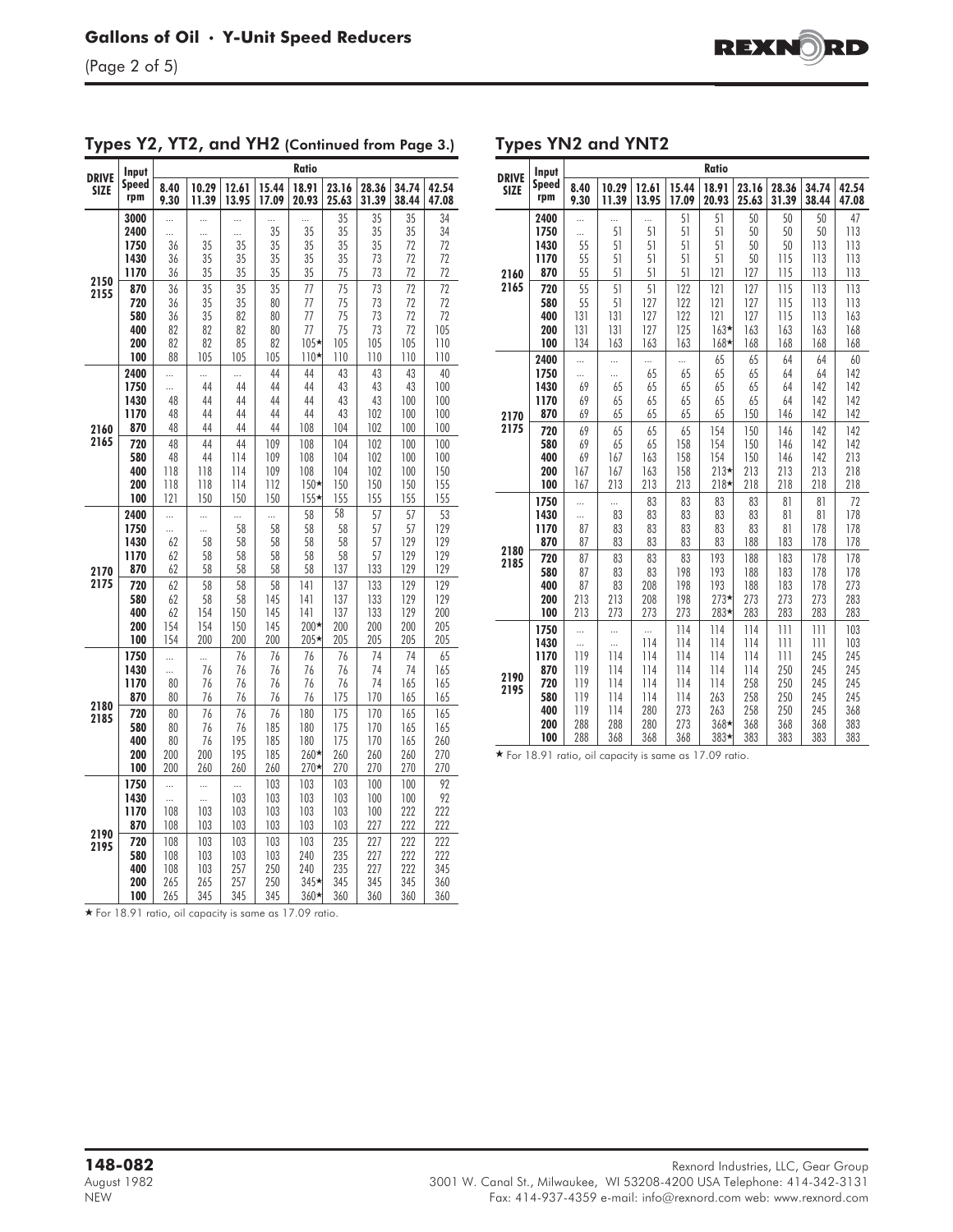| <b>DRIVE</b> | Input                                          |                                        |                                         |                                         |                                         | <b>Ratio</b>                                   |                                          |                                          |                                          |                                           |
|--------------|------------------------------------------------|----------------------------------------|-----------------------------------------|-----------------------------------------|-----------------------------------------|------------------------------------------------|------------------------------------------|------------------------------------------|------------------------------------------|-------------------------------------------|
| <b>SIZE</b>  | Speed                                          | 8.40                                   | 10.29                                   | 12.61                                   | 15.44                                   | 18.91                                          | 23.16                                    | 28.36                                    | 34.74                                    | 42.54                                     |
|              | rpm                                            | 9.30                                   | 11.39                                   | 13.95                                   | 17.09                                   | 20.93                                          | 25.63                                    | 31.39                                    | 38.44                                    | 47.08                                     |
|              | 3000<br>2400<br>1750<br>1430                   | <br><br>36<br>36                       | <br><br>35<br>35                        | <br><br>35<br>35                        | 35<br>35<br>35                          | 35<br>35<br>35                                 | 35<br>35<br>35<br>35                     | 35<br>35<br>35<br>73                     | 35<br>35<br>72<br>72                     | 34<br>34<br>72<br>72                      |
| 2150<br>2155 | 1170<br>870<br>720<br>580<br>400<br>200<br>100 | 36<br>36<br>36<br>36<br>82<br>82<br>88 | 35<br>35<br>35<br>35<br>82<br>82<br>105 | 35<br>35<br>35<br>82<br>82<br>85<br>105 | 35<br>35<br>80<br>80<br>80<br>82<br>105 | 35<br>77<br>77<br>77<br>77<br>$105*$<br>$110*$ | 75<br>75<br>75<br>75<br>75<br>105<br>110 | 73<br>73<br>73<br>73<br>73<br>105<br>110 | 72<br>72<br>72<br>72<br>72<br>105<br>110 | 72<br>72<br>72<br>72<br>105<br>110<br>110 |
| 2160<br>2165 | 2400<br>1750<br>1430<br>1170<br>870<br>720     | <br><br>48<br>48<br>48<br>48           | <br>44<br>44<br>44<br>44<br>44          | <br>44<br>44<br>44<br>44<br>44          | 44<br>44<br>44<br>44<br>44<br>109       | 44<br>44<br>44<br>44<br>108<br>108             | 43<br>43<br>43<br>43<br>104<br>104       | 43<br>43<br>43<br>102<br>102<br>102      | 43<br>43<br>100<br>100<br>100<br>100     | 40<br>100<br>100<br>100<br>100<br>100     |
|              | 580                                            | 48                                     | 44                                      | 114                                     | 109                                     | 108                                            | 104                                      | 102                                      | 100                                      | 100                                       |
|              | 400                                            | 118                                    | 118                                     | 114                                     | 109                                     | 108                                            | 104                                      | 102                                      | 100                                      | 150                                       |
|              | 200                                            | 118                                    | 118                                     | 114                                     | 112                                     | $150*$                                         | 150                                      | 150                                      | 150                                      | 155                                       |
|              | 100                                            | 2                                      | 150                                     | 150                                     | 150                                     | $155*$                                         | 155                                      | 155                                      | 155                                      | 155                                       |
| 2170         | 2400                                           | $\ddotsc$                              | $\ddotsc$                               |                                         |                                         | 58                                             | $\overline{58}$                          | 57                                       | 57                                       | 53                                        |
|              | 1750                                           |                                        |                                         | 58                                      | 58                                      | 58                                             | 58                                       | 57                                       | 57                                       | 129                                       |
|              | 1430                                           | 62                                     | 58                                      | 58                                      | 58                                      | 58                                             | 58                                       | 57                                       | 129                                      | 129                                       |
|              | 1170                                           | 62                                     | 58                                      | 58                                      | 58                                      | 58                                             | 58                                       | 57                                       | 129                                      | 129                                       |
|              | 870                                            | 62                                     | 58                                      | 58                                      | 58                                      | 58                                             | 137                                      | 133                                      | 129                                      | 129                                       |
| 2175         | 720                                            | 62                                     | 58                                      | 58                                      | 58                                      | 4                                              | 137                                      | 133                                      | 129                                      | 129                                       |
|              | 580                                            | 62                                     | 58                                      | 58                                      | 145                                     | 4                                              | 137                                      | 133                                      | 129                                      | 129                                       |
|              | 400                                            | 62                                     | 154                                     | 150                                     | 145                                     | 141                                            | 137                                      | 133                                      | 129                                      | 200                                       |
|              | 200                                            | 154                                    | 154                                     | 150                                     | 145                                     | 200★                                           | 200                                      | 200                                      | 200                                      | 205                                       |
|              | 100                                            | 154                                    | 200                                     | 200                                     | 200                                     | 205★                                           | 205                                      | 205                                      | 205                                      | 205                                       |
| 2180         | 1750                                           |                                        |                                         | 76                                      | 76                                      | 76                                             | 76                                       | 74                                       | 74                                       | 65                                        |
|              | 1430                                           |                                        | 76                                      | 76                                      | 76                                      | 76                                             | 76                                       | 74                                       | 74                                       | 165                                       |
|              | 1170                                           | 80                                     | 76                                      | 76                                      | 76                                      | 76                                             | 76                                       | 74                                       | 165                                      | 165                                       |
|              | 870                                            | 80                                     | 76                                      | 76                                      | 76                                      | 76                                             | 175                                      | 170                                      | 165                                      | 165                                       |
| 2185         | 720                                            | 80                                     | 76                                      | 76                                      | 76                                      | 180                                            | 175                                      | 170                                      | 165                                      | 165                                       |
|              | 580                                            | 80                                     | 76                                      | 76                                      | 185                                     | 180                                            | 175                                      | 170                                      | 165                                      | 165                                       |
|              | 400                                            | 80                                     | 76                                      | 195                                     | 185                                     | 180                                            | 175                                      | 170                                      | 165                                      | 260                                       |
|              | 200                                            | 200                                    | 200                                     | 195                                     | 185                                     | 260*                                           | 260                                      | 260                                      | 260                                      | 270                                       |
|              | 100                                            | 200                                    | 260                                     | 260                                     | 260                                     | $270*$                                         | 270                                      | 270                                      | 270                                      | 270                                       |
| 2190         | 1750                                           |                                        |                                         |                                         | 103                                     | 103                                            | 103                                      | 100                                      | 100                                      | 92                                        |
|              | 1430                                           |                                        | $\ddotsc$                               | 103                                     | 103                                     | 103                                            | 103                                      | 100                                      | 100                                      | 92                                        |
|              | 1170                                           | 108                                    | 103                                     | 103                                     | 103                                     | 103                                            | 103                                      | 100                                      | 222                                      | 222                                       |
|              | 870                                            | 108                                    | 103                                     | 103                                     | 103                                     | 103                                            | 103                                      | 227                                      | 222                                      | 222                                       |
| 2195         | 720                                            | 108                                    | 103                                     | 103                                     | 103                                     | 103                                            | 235                                      | 227                                      | 222                                      | 222                                       |
|              | 580                                            | 108                                    | 103                                     | 103                                     | 103                                     | 240                                            | 235                                      | 227                                      | 222                                      | 222                                       |
|              | 400                                            | 108                                    | 103                                     | 257                                     | 250                                     | 240                                            | 235                                      | 227                                      | 222                                      | 345                                       |
|              | 200                                            | 265                                    | 265                                     | 257                                     | 250                                     | 345★                                           | 345                                      | 345                                      | 345                                      | 360                                       |
|              | 100                                            | 265                                    | 345                                     | 345                                     | 345                                     | $360*$                                         | 360                                      | 360                                      | 360                                      | 360                                       |

#### Types Y2, YT2, and YH2 (Continued from Page 3.)

(Page 2 of 5)

Types YN2 and YNT2

| <b>DRIVE</b> | Input               |                 |                |                |                | <b>Ratio</b>     |                |                |                |                |
|--------------|---------------------|-----------------|----------------|----------------|----------------|------------------|----------------|----------------|----------------|----------------|
| <b>SIZE</b>  | <b>Speed</b><br>rpm | 8.40<br>9.30    | 10.29<br>11.39 | 12.61<br>13.95 | 15.44<br>17.09 | 18.91<br>20.93   | 23.16<br>25.63 | 28.36<br>31.39 | 34.74<br>38.44 | 42.54<br>47.08 |
|              | 2400<br>1750        | <br>$\ddotsc$   | <br>51         | <br>51         | 51<br>51       | 51<br>51         | 50<br>50       | 50<br>50       | 50<br>50       | 47<br>113      |
|              | 1430                | 55              | 51             | 51             | 51             | 51               | 50             | 50             | 113            | 113            |
|              | 1170                | 55              | 51             | 51             | 51             | 51               | 50             | 115            | 113            | 113            |
| 2160<br>2165 | 870<br>720          | 55<br>55        | 51<br>51       | 51<br>51       | 51<br>122      | 121<br>121       | 127<br>127     | 115<br>115     | 113<br>113     | 113<br>113     |
|              | 580                 | 55              | 51             | 127            | 122            | 121              | 127            | 115            | 113            | 113            |
|              | 400                 | 131             | 131            | 127            | 122            | 121              | 127            | 115            | 113            | 163            |
|              | 200                 | 131             | 131            | 127            | 125            | $163*$           | 163            | 163            | 163            | 168            |
|              | 100                 | 134             | 163            | 163            | 163            | $168*$           | 168            | 168            | 168            | 168            |
|              | 2400                |                 |                |                |                | 65               | 65             | 64             | 64             | 60             |
|              | 1750<br>1430        | $\ddotsc$<br>69 | $\cdots$<br>65 | 65<br>65       | 65<br>65       | 65<br>65         | 65<br>65       | 64<br>64       | 64<br>142      | 142<br>142     |
|              | 1170                | 69              | 65             | 65             | 65             | 65               | 65             | 64             | 142            | 142            |
| 2170         | 870                 | 69              | 65             | 65             | 65             | 65               | 150            | 146            | 142            | 142            |
| 2175         | 720                 | 69              | 65             | 65             | 65             | 154              | 150            | 146            | 142            | 142            |
|              | 580                 | 69              | 65             | 65             | 158            | 154              | 150            | 146            | 142            | 142            |
|              | 400                 | 69              | 167            | 163            | 158            | 154              | 150            | 146            | 142            | 213            |
|              | 200<br>100          | 167<br>167      | 167<br>213     | 163<br>213     | 158<br>213     | $213+$<br>$218*$ | 213<br>218     | 213<br>218     | 213<br>218     | 218<br>218     |
|              | 1750                | $\ddotsc$       |                | 83             | 83             | 83               | 83             | 81             | 81             | 72             |
|              | 1430                | $\ddots$        | 83             | 83             | 83             | 83               | 83             | 81             | 81             | 178            |
|              | 1170                | 87              | 83             | 83             | 83             | 83               | 83             | 81             | 178            | 178            |
| 2180         | 870                 | 87              | 83             | 83             | 83             | 83               | 188            | 183            | 178            | 178            |
| 2185         | 720                 | 87              | 83             | 83             | 83             | 193              | 188            | 183            | 178            | 178            |
|              | 580<br>400          | 87<br>87        | 83<br>83       | 83<br>208      | 198<br>198     | 193<br>193       | 188<br>188     | 183<br>183     | 178<br>178     | 178<br>273     |
|              | 200                 | 213             | 213            | 208            | 198            | $273*$           | 273            | 273            | 273            | 283            |
|              | 100                 | 213             | 273            | 273            | 273            | 283*             | 283            | 283            | 283            | 283            |
|              | 1750                |                 |                | $\ddotsc$      | 114            | 114              | 114            | 111            | 111            | 103            |
|              | 1430                | $\ddots$        |                | 114            | 114            | 114              | 114            | 111            | 111            | 103            |
|              | 1170                | 119             | 114            | 114            | 114            | 114              | 114            | 111            | 245            | 245            |
| 2190         | 870<br>720          | 119<br>119      | 114<br>114     | 114<br>114     | 114<br>114     | 114<br>114       | 114<br>258     | 250<br>250     | 245<br>245     | 245<br>245     |
| 2195         | 580                 | 119             | 114            | 114            | 114            | 263              | 258            | 250            | 245            | 245            |
|              | 400                 | 119             | 114            | 280            | 273            | 263              | 258            | 250            | 245            | 368            |
|              | 200                 | 288             | 288            | 280            | 273            | 368*             | 368            | 368            | 368            | 383            |
|              | 100                 | 288             | 368            | 368            | 368            | 383*             | 383            | 383            | 383            | 383            |

- For 18.91 ratio, oil capacity is same as 17.09 ratio.

- For 18.91 ratio, oil capacity is same as 17.09 ratio.